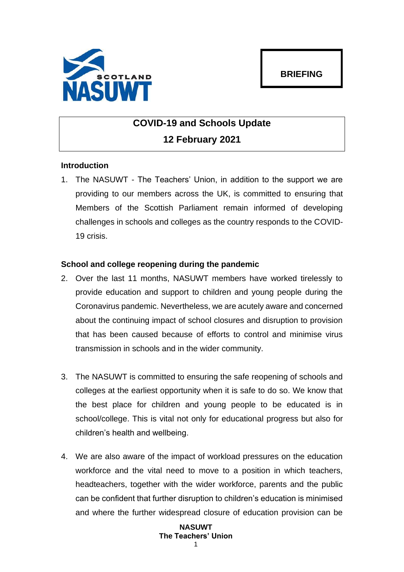

# **COVID-19 and Schools Update 12 February 2021**

# **Introduction**

1. The NASUWT - The Teachers' Union, in addition to the support we are providing to our members across the UK, is committed to ensuring that Members of the Scottish Parliament remain informed of developing challenges in schools and colleges as the country responds to the COVID-19 crisis.

# **School and college reopening during the pandemic**

- 2. Over the last 11 months, NASUWT members have worked tirelessly to provide education and support to children and young people during the Coronavirus pandemic. Nevertheless, we are acutely aware and concerned about the continuing impact of school closures and disruption to provision that has been caused because of efforts to control and minimise virus transmission in schools and in the wider community.
- 3. The NASUWT is committed to ensuring the safe reopening of schools and colleges at the earliest opportunity when it is safe to do so. We know that the best place for children and young people to be educated is in school/college. This is vital not only for educational progress but also for children's health and wellbeing.
- 4. We are also aware of the impact of workload pressures on the education workforce and the vital need to move to a position in which teachers, headteachers, together with the wider workforce, parents and the public can be confident that further disruption to children's education is minimised and where the further widespread closure of education provision can be

## **NASUWT The Teachers' Union** 1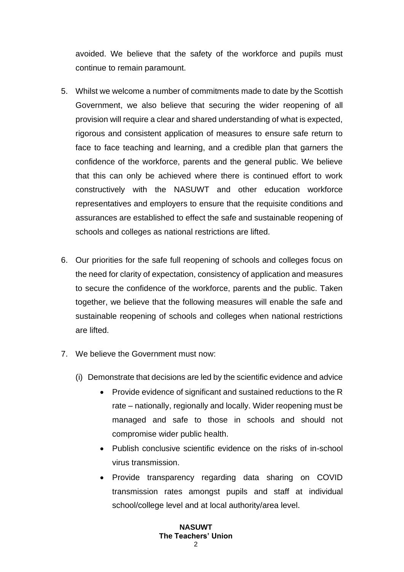avoided. We believe that the safety of the workforce and pupils must continue to remain paramount.

- 5. Whilst we welcome a number of commitments made to date by the Scottish Government, we also believe that securing the wider reopening of all provision will require a clear and shared understanding of what is expected, rigorous and consistent application of measures to ensure safe return to face to face teaching and learning, and a credible plan that garners the confidence of the workforce, parents and the general public. We believe that this can only be achieved where there is continued effort to work constructively with the NASUWT and other education workforce representatives and employers to ensure that the requisite conditions and assurances are established to effect the safe and sustainable reopening of schools and colleges as national restrictions are lifted.
- 6. Our priorities for the safe full reopening of schools and colleges focus on the need for clarity of expectation, consistency of application and measures to secure the confidence of the workforce, parents and the public. Taken together, we believe that the following measures will enable the safe and sustainable reopening of schools and colleges when national restrictions are lifted.
- 7. We believe the Government must now:
	- (i) Demonstrate that decisions are led by the scientific evidence and advice
		- Provide evidence of significant and sustained reductions to the R rate – nationally, regionally and locally. Wider reopening must be managed and safe to those in schools and should not compromise wider public health.
		- Publish conclusive scientific evidence on the risks of in-school virus transmission.
		- Provide transparency regarding data sharing on COVID transmission rates amongst pupils and staff at individual school/college level and at local authority/area level.

#### **NASUWT The Teachers' Union**  $\mathcal{L}$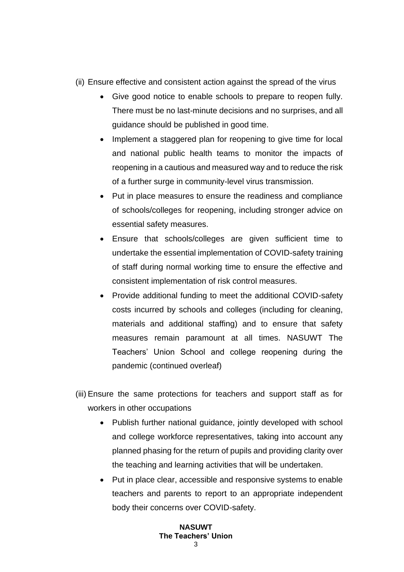- (ii) Ensure effective and consistent action against the spread of the virus
	- Give good notice to enable schools to prepare to reopen fully. There must be no last-minute decisions and no surprises, and all guidance should be published in good time.
	- Implement a staggered plan for reopening to give time for local and national public health teams to monitor the impacts of reopening in a cautious and measured way and to reduce the risk of a further surge in community-level virus transmission.
	- Put in place measures to ensure the readiness and compliance of schools/colleges for reopening, including stronger advice on essential safety measures.
	- Ensure that schools/colleges are given sufficient time to undertake the essential implementation of COVID-safety training of staff during normal working time to ensure the effective and consistent implementation of risk control measures.
	- Provide additional funding to meet the additional COVID-safety costs incurred by schools and colleges (including for cleaning, materials and additional staffing) and to ensure that safety measures remain paramount at all times. NASUWT The Teachers' Union School and college reopening during the pandemic (continued overleaf)
- (iii) Ensure the same protections for teachers and support staff as for workers in other occupations
	- Publish further national guidance, jointly developed with school and college workforce representatives, taking into account any planned phasing for the return of pupils and providing clarity over the teaching and learning activities that will be undertaken.
	- Put in place clear, accessible and responsive systems to enable teachers and parents to report to an appropriate independent body their concerns over COVID-safety.

### **NASUWT The Teachers' Union**  $\mathbf{c}$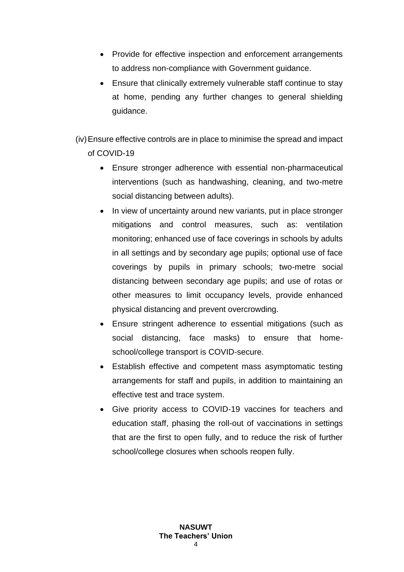- Provide for effective inspection and enforcement arrangements to address non-compliance with Government guidance.
- Ensure that clinically extremely vulnerable staff continue to stay at home, pending any further changes to general shielding guidance.

(iv)Ensure effective controls are in place to minimise the spread and impact of COVID-19

- Ensure stronger adherence with essential non-pharmaceutical interventions (such as handwashing, cleaning, and two-metre social distancing between adults).
- In view of uncertainty around new variants, put in place stronger mitigations and control measures, such as: ventilation monitoring; enhanced use of face coverings in schools by adults in all settings and by secondary age pupils; optional use of face coverings by pupils in primary schools; two-metre social distancing between secondary age pupils; and use of rotas or other measures to limit occupancy levels, provide enhanced physical distancing and prevent overcrowding.
- Ensure stringent adherence to essential mitigations (such as social distancing, face masks) to ensure that homeschool/college transport is COVID-secure.
- Establish effective and competent mass asymptomatic testing arrangements for staff and pupils, in addition to maintaining an effective test and trace system.
- Give priority access to COVID-19 vaccines for teachers and education staff, phasing the roll-out of vaccinations in settings that are the first to open fully, and to reduce the risk of further school/college closures when schools reopen fully.